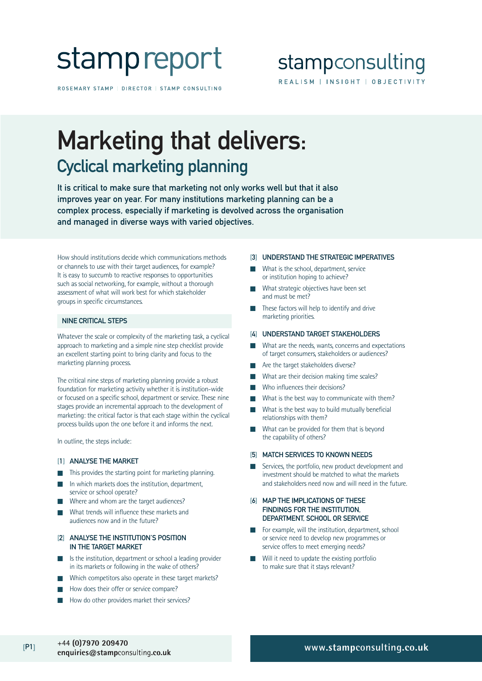

ROSEMARY STAMP | DIRECTOR | STAMP CONSULTING

### stampconsulting REALISM | INSIGHT | OBJECTIVITY

## Marketing that delivers: Cyclical marketing planning

It is critical to make sure that marketing not only works well but that it also improves year on year. For many institutions marketing planning can be a complex process, especially if marketing is devolved across the organisation and managed in diverse ways with varied objectives.

How should institutions decide which communications methods or channels to use with their target audiences, for example? It is easy to succumb to reactive responses to opportunities such as social networking, for example, without a thorough assessment of what will work best for which stakeholder groups in specific circumstances.

### NINE CRITICAL STEPS

Whatever the scale or complexity of the marketing task, a cyclical approach to marketing and a simple nine step checklist provide an excellent starting point to bring clarity and focus to the marketing planning process.

The critical nine steps of marketing planning provide a robust foundation for marketing activity whether it is institution-wide or focused on a specific school, department or service. These nine stages provide an incremental approach to the development of marketing: the critical factor is that each stage within the cyclical process builds upon the one before it and informs the next.

In outline, the steps include:

### [1] ANALYSE THE MARKET

- This provides the starting point for marketing planning.
- In which markets does the institution, department, service or school operate?
- Where and whom are the target audiences?
- What trends will influence these markets and audiences now and in the future?
- [2] ANALYSE THE INSTITUTION'S POSITION IN THE TARGET MARKET
- Is the institution, department or school a leading provider in its markets or following in the wake of others?
- Which competitors also operate in these target markets?
- How does their offer or service compare?
- How do other providers market their services?

#### [3] UNDERSTAND THE STRATEGIC IMPERATIVES

- What is the school, department, service or institution hoping to achieve?
- What strategic objectives have been set and must be met?
- These factors will help to identify and drive marketing priorities.

### [4] UNDERSTAND TARGET STAKEHOLDERS

- What are the needs, wants, concerns and expectations of target consumers, stakeholders or audiences?
- Are the target stakeholders diverse?
- What are their decision making time scales?
- Who influences their decisions?
- What is the best way to communicate with them?
- What is the best way to build mutually beneficial relationships with them?
- What can be provided for them that is beyond the capability of others?
- [5] MATCH SERVICES TO KNOWN NEEDS
- Services, the portfolio, new product development and investment should be matched to what the markets and stakeholders need now and will need in the future.

### [6] MAP THE IMPLICATIONS OF THESE FINDINGS FOR THE INSTITUTION, DEPARTMENT, SCHOOL OR SERVICE

- For example, will the institution, department, school or service need to develop new programmes or service offers to meet emerging needs?
- Will it need to update the existing portfolio to make sure that it stays relevant?